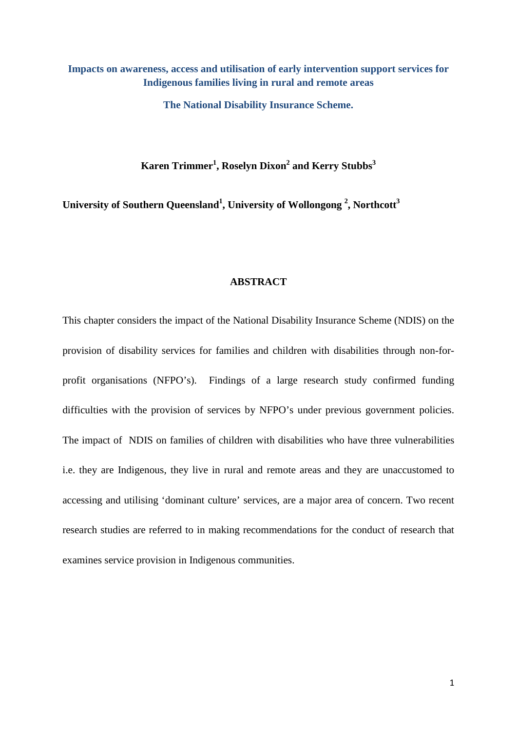# **Impacts on awareness, access and utilisation of early intervention support services for Indigenous families living in rural and remote areas**

**The National Disability Insurance Scheme.**

**Karen Trimmer1 , Roselyn Dixon2 and Kerry Stubbs3**

University of Southern Queensland<sup>1</sup>, University of Wollongong<sup>2</sup>, Northcott<sup>3</sup>

## **ABSTRACT**

This chapter considers the impact of the National Disability Insurance Scheme (NDIS) on the provision of disability services for families and children with disabilities through non-forprofit organisations (NFPO's). Findings of a large research study confirmed funding difficulties with the provision of services by NFPO's under previous government policies. The impact of NDIS on families of children with disabilities who have three vulnerabilities i.e. they are Indigenous, they live in rural and remote areas and they are unaccustomed to accessing and utilising 'dominant culture' services, are a major area of concern. Two recent research studies are referred to in making recommendations for the conduct of research that examines service provision in Indigenous communities.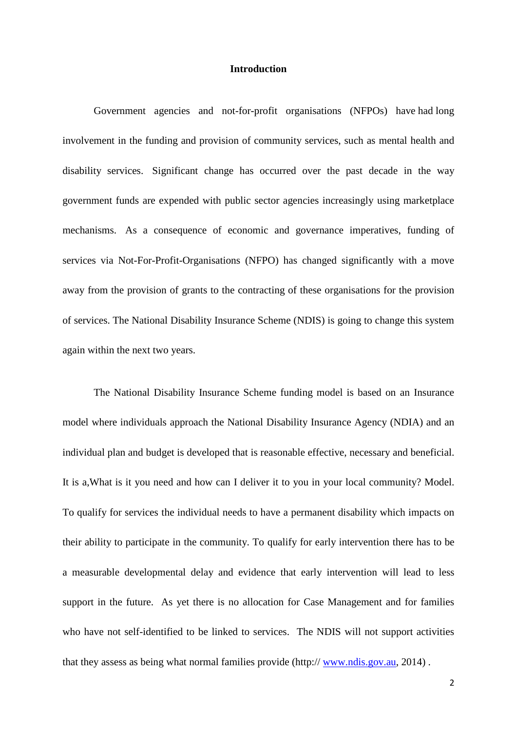#### **Introduction**

Government agencies and not-for-profit organisations (NFPOs) have had long involvement in the funding and provision of community services, such as mental health and disability services. Significant change has occurred over the past decade in the way government funds are expended with public sector agencies increasingly using marketplace mechanisms. As a consequence of economic and governance imperatives, funding of services via Not-For-Profit-Organisations (NFPO) has changed significantly with a move away from the provision of grants to the contracting of these organisations for the provision of services. The National Disability Insurance Scheme (NDIS) is going to change this system again within the next two years.

The National Disability Insurance Scheme funding model is based on an Insurance model where individuals approach the National Disability Insurance Agency (NDIA) and an individual plan and budget is developed that is reasonable effective, necessary and beneficial. It is a,What is it you need and how can I deliver it to you in your local community? Model. To qualify for services the individual needs to have a permanent disability which impacts on their ability to participate in the community. To qualify for early intervention there has to be a measurable developmental delay and evidence that early intervention will lead to less support in the future. As yet there is no allocation for Case Management and for families who have not self-identified to be linked to services. The NDIS will not support activities that they assess as being what normal families provide (http:// [www.ndis.gov.au,](http://www.ndis.gov.au/) 2014) .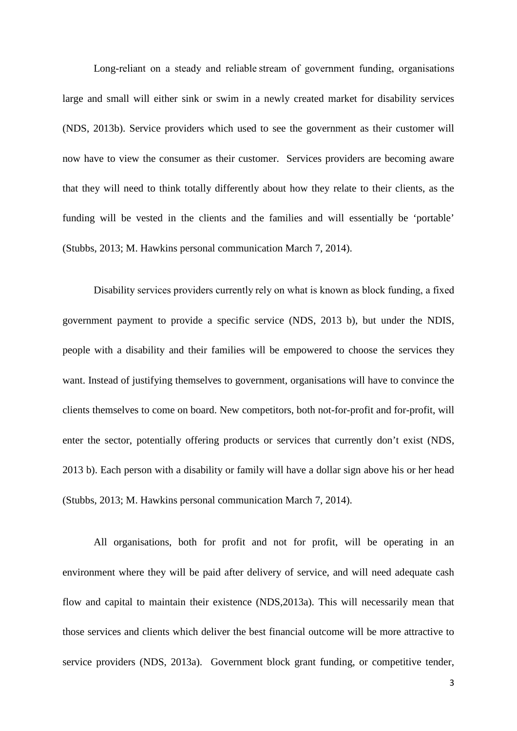Long-reliant on a steady and reliable stream of government funding, organisations large and small will either sink or swim in a newly created market for disability services (NDS, 2013b). Service providers which used to see the government as their customer will now have to view the consumer as their customer. Services providers are becoming aware that they will need to think totally differently about how they relate to their clients, as the funding will be vested in the clients and the families and will essentially be 'portable' (Stubbs, 2013; M. Hawkins personal communication March 7, 2014).

Disability services providers currently rely on what is known as block funding, a fixed government payment to provide a specific service (NDS, 2013 b), but under the NDIS, people with a disability and their families will be empowered to choose the services they want. Instead of justifying themselves to government, organisations will have to convince the clients themselves to come on board. New competitors, both not-for-profit and for-profit, will enter the sector, potentially offering products or services that currently don't exist (NDS, 2013 b). Each person with a disability or family will have a dollar sign above his or her head (Stubbs, 2013; M. Hawkins personal communication March 7, 2014).

All organisations, both for profit and not for profit, will be operating in an environment where they will be paid after delivery of service, and will need adequate cash flow and capital to maintain their existence (NDS,2013a). This will necessarily mean that those services and clients which deliver the best financial outcome will be more attractive to service providers (NDS, 2013a). Government block grant funding, or competitive tender,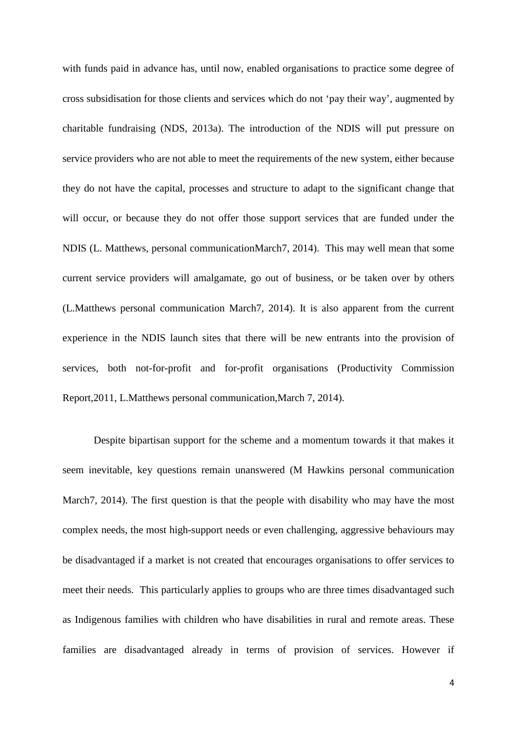with funds paid in advance has, until now, enabled organisations to practice some degree of cross subsidisation for those clients and services which do not 'pay their way', augmented by charitable fundraising (NDS, 2013a). The introduction of the NDIS will put pressure on service providers who are not able to meet the requirements of the new system, either because they do not have the capital, processes and structure to adapt to the significant change that will occur, or because they do not offer those support services that are funded under the NDIS (L. Matthews, personal communicationMarch7, 2014). This may well mean that some current service providers will amalgamate, go out of business, or be taken over by others (L.Matthews personal communication March7, 2014). It is also apparent from the current experience in the NDIS launch sites that there will be new entrants into the provision of services, both not-for-profit and for-profit organisations (Productivity Commission Report,2011, L.Matthews personal communication,March 7, 2014).

Despite bipartisan support for the scheme and a momentum towards it that makes it seem inevitable, key questions remain unanswered (M Hawkins personal communication March7, 2014). The first question is that the people with disability who may have the most complex needs, the most high-support needs or even challenging, aggressive behaviours may be disadvantaged if a market is not created that encourages organisations to offer services to meet their needs. This particularly applies to groups who are three times disadvantaged such as Indigenous families with children who have disabilities in rural and remote areas. These families are disadvantaged already in terms of provision of services. However if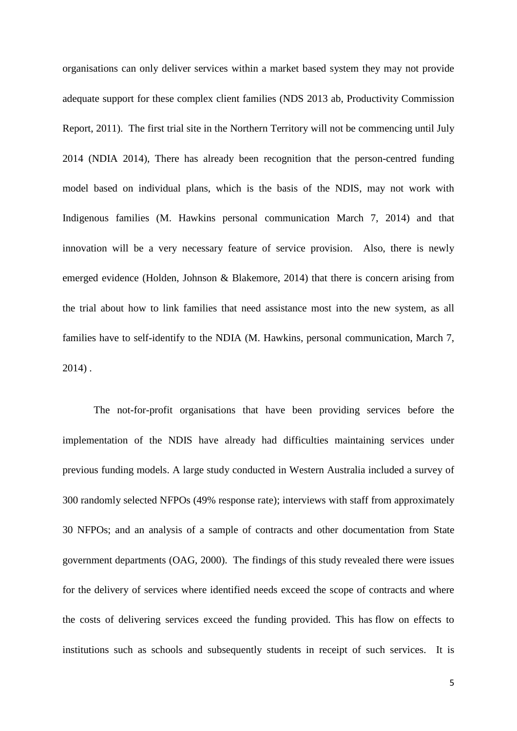organisations can only deliver services within a market based system they may not provide adequate support for these complex client families (NDS 2013 ab, Productivity Commission Report, 2011). The first trial site in the Northern Territory will not be commencing until July 2014 (NDIA 2014), There has already been recognition that the person-centred funding model based on individual plans, which is the basis of the NDIS, may not work with Indigenous families (M. Hawkins personal communication March 7, 2014) and that innovation will be a very necessary feature of service provision. Also, there is newly emerged evidence (Holden, Johnson & Blakemore, 2014) that there is concern arising from the trial about how to link families that need assistance most into the new system, as all families have to self-identify to the NDIA (M. Hawkins, personal communication, March 7, 2014) .

The not-for-profit organisations that have been providing services before the implementation of the NDIS have already had difficulties maintaining services under previous funding models. A large study conducted in Western Australia included a survey of 300 randomly selected NFPOs (49% response rate); interviews with staff from approximately 30 NFPOs; and an analysis of a sample of contracts and other documentation from State government departments (OAG, 2000). The findings of this study revealed there were issues for the delivery of services where identified needs exceed the scope of contracts and where the costs of delivering services exceed the funding provided. This has flow on effects to institutions such as schools and subsequently students in receipt of such services. It is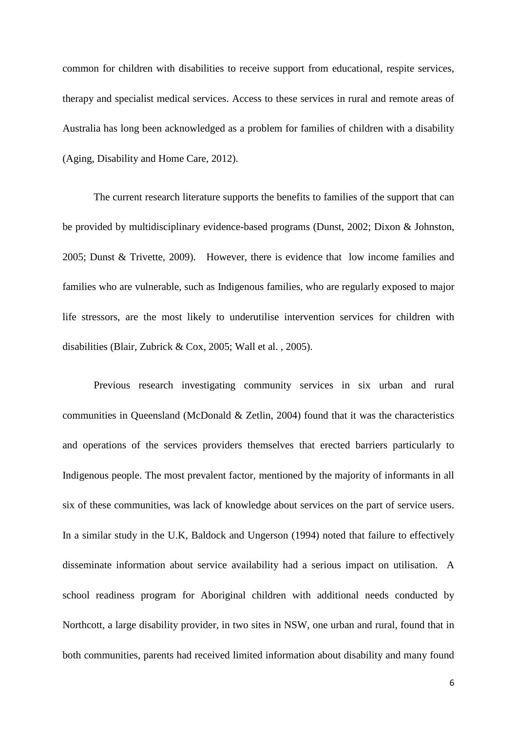common for children with disabilities to receive support from educational, respite services, therapy and specialist medical services. Access to these services in rural and remote areas of Australia has long been acknowledged as a problem for families of children with a disability (Aging, Disability and Home Care, 2012).

The current research literature supports the benefits to families of the support that can be provided by multidisciplinary evidence-based programs (Dunst, 2002; Dixon & Johnston, 2005; Dunst & Trivette, 2009). However, there is evidence that low income families and families who are vulnerable, such as Indigenous families, who are regularly exposed to major life stressors, are the most likely to underutilise intervention services for children with disabilities (Blair, Zubrick & Cox, 2005; Wall et al. , 2005).

Previous research investigating community services in six urban and rural communities in Queensland (McDonald & Zetlin, 2004) found that it was the characteristics and operations of the services providers themselves that erected barriers particularly to Indigenous people. The most prevalent factor, mentioned by the majority of informants in all six of these communities, was lack of knowledge about services on the part of service users. In a similar study in the U.K, Baldock and Ungerson (1994) noted that failure to effectively disseminate information about service availability had a serious impact on utilisation. A school readiness program for Aboriginal children with additional needs conducted by Northcott, a large disability provider, in two sites in NSW, one urban and rural, found that in both communities, parents had received limited information about disability and many found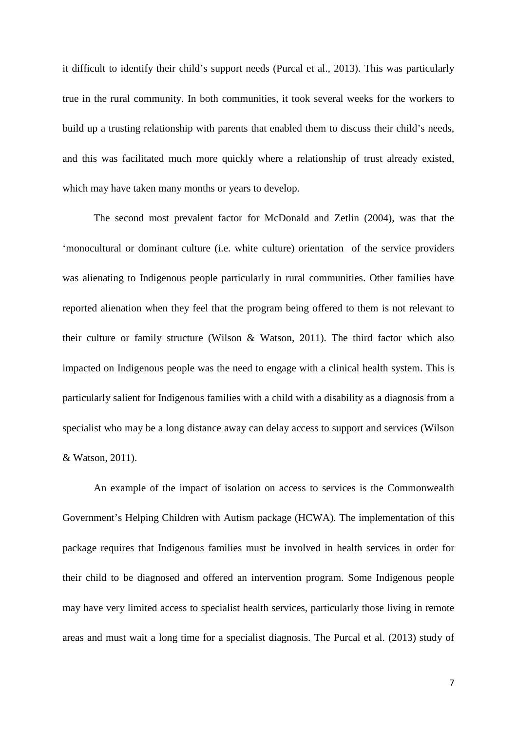it difficult to identify their child's support needs (Purcal et al., 2013). This was particularly true in the rural community. In both communities, it took several weeks for the workers to build up a trusting relationship with parents that enabled them to discuss their child's needs, and this was facilitated much more quickly where a relationship of trust already existed, which may have taken many months or years to develop.

The second most prevalent factor for McDonald and Zetlin (2004), was that the 'monocultural or dominant culture (i.e. white culture) orientation of the service providers was alienating to Indigenous people particularly in rural communities. Other families have reported alienation when they feel that the program being offered to them is not relevant to their culture or family structure (Wilson & Watson, 2011). The third factor which also impacted on Indigenous people was the need to engage with a clinical health system. This is particularly salient for Indigenous families with a child with a disability as a diagnosis from a specialist who may be a long distance away can delay access to support and services (Wilson & Watson, 2011).

An example of the impact of isolation on access to services is the Commonwealth Government's Helping Children with Autism package (HCWA). The implementation of this package requires that Indigenous families must be involved in health services in order for their child to be diagnosed and offered an intervention program. Some Indigenous people may have very limited access to specialist health services, particularly those living in remote areas and must wait a long time for a specialist diagnosis. The Purcal et al. (2013) study of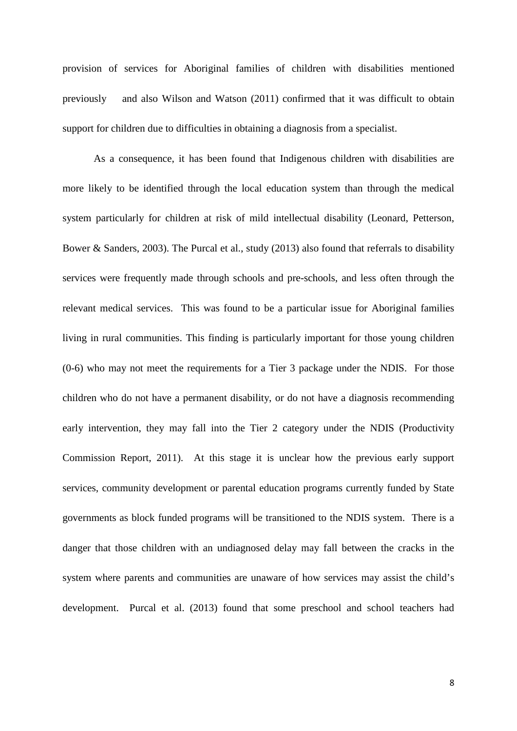provision of services for Aboriginal families of children with disabilities mentioned previously and also Wilson and Watson (2011) confirmed that it was difficult to obtain support for children due to difficulties in obtaining a diagnosis from a specialist.

As a consequence, it has been found that Indigenous children with disabilities are more likely to be identified through the local education system than through the medical system particularly for children at risk of mild intellectual disability (Leonard, Petterson, Bower & Sanders, 2003). The Purcal et al., study (2013) also found that referrals to disability services were frequently made through schools and pre-schools, and less often through the relevant medical services. This was found to be a particular issue for Aboriginal families living in rural communities. This finding is particularly important for those young children (0-6) who may not meet the requirements for a Tier 3 package under the NDIS. For those children who do not have a permanent disability, or do not have a diagnosis recommending early intervention, they may fall into the Tier 2 category under the NDIS (Productivity Commission Report, 2011). At this stage it is unclear how the previous early support services, community development or parental education programs currently funded by State governments as block funded programs will be transitioned to the NDIS system. There is a danger that those children with an undiagnosed delay may fall between the cracks in the system where parents and communities are unaware of how services may assist the child's development. Purcal et al. (2013) found that some preschool and school teachers had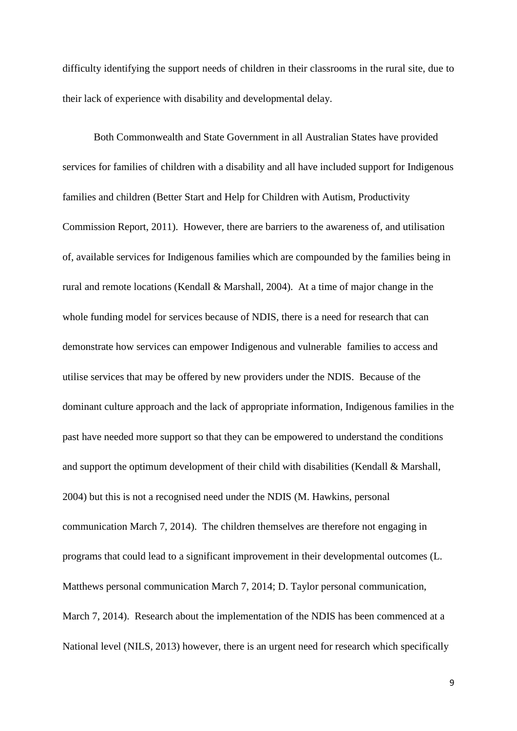difficulty identifying the support needs of children in their classrooms in the rural site, due to their lack of experience with disability and developmental delay.

Both Commonwealth and State Government in all Australian States have provided services for families of children with a disability and all have included support for Indigenous families and children (Better Start and Help for Children with Autism, Productivity Commission Report, 2011). However, there are barriers to the awareness of, and utilisation of, available services for Indigenous families which are compounded by the families being in rural and remote locations (Kendall & Marshall, 2004). At a time of major change in the whole funding model for services because of NDIS, there is a need for research that can demonstrate how services can empower Indigenous and vulnerable families to access and utilise services that may be offered by new providers under the NDIS. Because of the dominant culture approach and the lack of appropriate information, Indigenous families in the past have needed more support so that they can be empowered to understand the conditions and support the optimum development of their child with disabilities (Kendall & Marshall, 2004) but this is not a recognised need under the NDIS (M. Hawkins, personal communication March 7, 2014). The children themselves are therefore not engaging in programs that could lead to a significant improvement in their developmental outcomes (L. Matthews personal communication March 7, 2014; D. Taylor personal communication, March 7, 2014). Research about the implementation of the NDIS has been commenced at a National level (NILS, 2013) however, there is an urgent need for research which specifically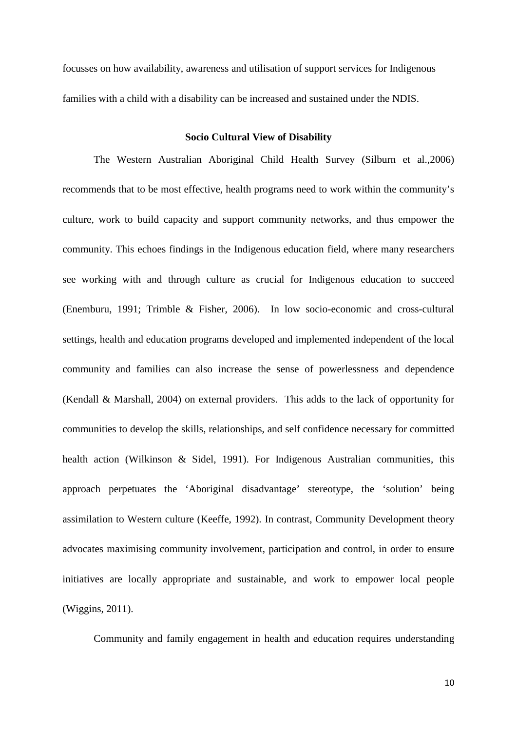focusses on how availability, awareness and utilisation of support services for Indigenous families with a child with a disability can be increased and sustained under the NDIS.

#### **Socio Cultural View of Disability**

The Western Australian Aboriginal Child Health Survey (Silburn et al.,2006) recommends that to be most effective, health programs need to work within the community's culture, work to build capacity and support community networks, and thus empower the community. This echoes findings in the Indigenous education field, where many researchers see working with and through culture as crucial for Indigenous education to succeed (Enemburu, 1991; Trimble & Fisher, 2006). In low socio-economic and cross-cultural settings, health and education programs developed and implemented independent of the local community and families can also increase the sense of powerlessness and dependence (Kendall & Marshall, 2004) on external providers. This adds to the lack of opportunity for communities to develop the skills, relationships, and self confidence necessary for committed health action (Wilkinson & Sidel, 1991). For Indigenous Australian communities, this approach perpetuates the 'Aboriginal disadvantage' stereotype, the 'solution' being assimilation to Western culture (Keeffe, 1992). In contrast, Community Development theory advocates maximising community involvement, participation and control, in order to ensure initiatives are locally appropriate and sustainable, and work to empower local people (Wiggins, 2011).

Community and family engagement in health and education requires understanding

10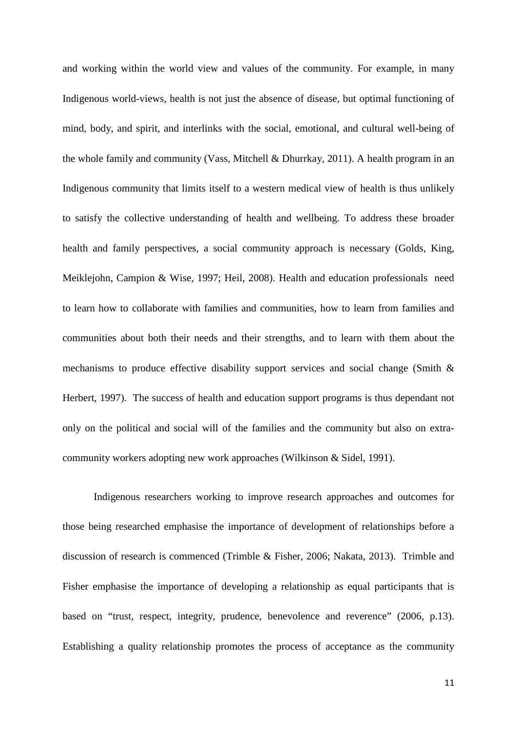and working within the world view and values of the community. For example, in many Indigenous world-views, health is not just the absence of disease, but optimal functioning of mind, body, and spirit, and interlinks with the social, emotional, and cultural well-being of the whole family and community (Vass, Mitchell & Dhurrkay, 2011). A health program in an Indigenous community that limits itself to a western medical view of health is thus unlikely to satisfy the collective understanding of health and wellbeing. To address these broader health and family perspectives, a social community approach is necessary (Golds, King, Meiklejohn, Campion & Wise*,* 1997; Heil, 2008). Health and education professionals need to learn how to collaborate with families and communities, how to learn from families and communities about both their needs and their strengths, and to learn with them about the mechanisms to produce effective disability support services and social change (Smith & Herbert, 1997). The success of health and education support programs is thus dependant not only on the political and social will of the families and the community but also on extracommunity workers adopting new work approaches (Wilkinson & Sidel, 1991).

Indigenous researchers working to improve research approaches and outcomes for those being researched emphasise the importance of development of relationships before a discussion of research is commenced (Trimble & Fisher, 2006; Nakata, 2013). Trimble and Fisher emphasise the importance of developing a relationship as equal participants that is based on "trust, respect, integrity, prudence, benevolence and reverence" (2006, p.13). Establishing a quality relationship promotes the process of acceptance as the community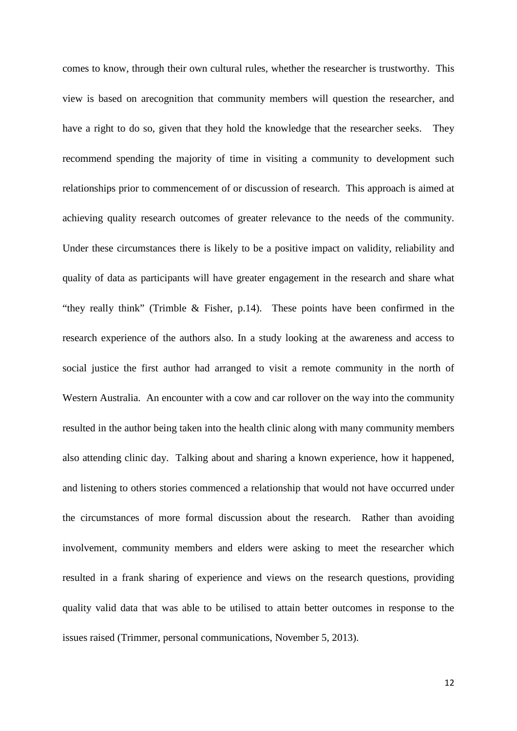comes to know, through their own cultural rules, whether the researcher is trustworthy. This view is based on arecognition that community members will question the researcher, and have a right to do so, given that they hold the knowledge that the researcher seeks. They recommend spending the majority of time in visiting a community to development such relationships prior to commencement of or discussion of research. This approach is aimed at achieving quality research outcomes of greater relevance to the needs of the community. Under these circumstances there is likely to be a positive impact on validity, reliability and quality of data as participants will have greater engagement in the research and share what "they really think" (Trimble & Fisher, p.14). These points have been confirmed in the research experience of the authors also. In a study looking at the awareness and access to social justice the first author had arranged to visit a remote community in the north of Western Australia. An encounter with a cow and car rollover on the way into the community resulted in the author being taken into the health clinic along with many community members also attending clinic day. Talking about and sharing a known experience, how it happened, and listening to others stories commenced a relationship that would not have occurred under the circumstances of more formal discussion about the research. Rather than avoiding involvement, community members and elders were asking to meet the researcher which resulted in a frank sharing of experience and views on the research questions, providing quality valid data that was able to be utilised to attain better outcomes in response to the issues raised (Trimmer, personal communications, November 5, 2013).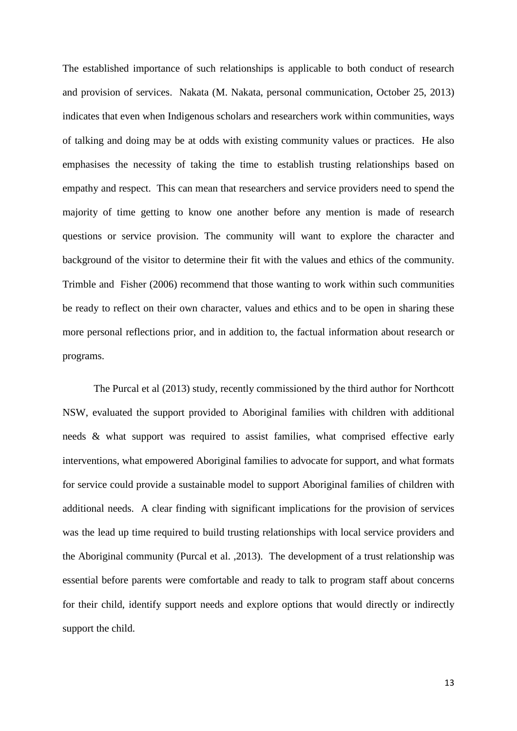The established importance of such relationships is applicable to both conduct of research and provision of services. Nakata (M. Nakata, personal communication, October 25, 2013) indicates that even when Indigenous scholars and researchers work within communities, ways of talking and doing may be at odds with existing community values or practices. He also emphasises the necessity of taking the time to establish trusting relationships based on empathy and respect. This can mean that researchers and service providers need to spend the majority of time getting to know one another before any mention is made of research questions or service provision. The community will want to explore the character and background of the visitor to determine their fit with the values and ethics of the community. Trimble and Fisher (2006) recommend that those wanting to work within such communities be ready to reflect on their own character, values and ethics and to be open in sharing these more personal reflections prior, and in addition to, the factual information about research or programs.

The Purcal et al (2013) study, recently commissioned by the third author for Northcott NSW, evaluated the support provided to Aboriginal families with children with additional needs & what support was required to assist families, what comprised effective early interventions, what empowered Aboriginal families to advocate for support, and what formats for service could provide a sustainable model to support Aboriginal families of children with additional needs. A clear finding with significant implications for the provision of services was the lead up time required to build trusting relationships with local service providers and the Aboriginal community (Purcal et al. ,2013). The development of a trust relationship was essential before parents were comfortable and ready to talk to program staff about concerns for their child, identify support needs and explore options that would directly or indirectly support the child.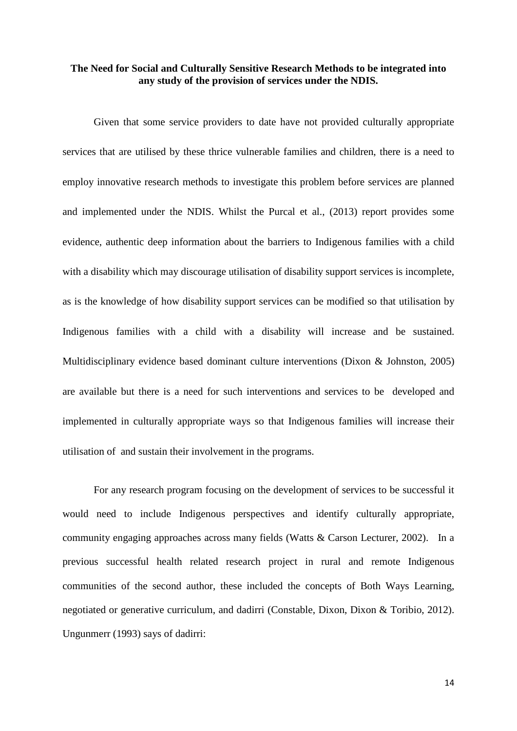## **The Need for Social and Culturally Sensitive Research Methods to be integrated into any study of the provision of services under the NDIS.**

Given that some service providers to date have not provided culturally appropriate services that are utilised by these thrice vulnerable families and children, there is a need to employ innovative research methods to investigate this problem before services are planned and implemented under the NDIS. Whilst the Purcal et al., (2013) report provides some evidence, authentic deep information about the barriers to Indigenous families with a child with a disability which may discourage utilisation of disability support services is incomplete, as is the knowledge of how disability support services can be modified so that utilisation by Indigenous families with a child with a disability will increase and be sustained. Multidisciplinary evidence based dominant culture interventions (Dixon & Johnston, 2005) are available but there is a need for such interventions and services to be developed and implemented in culturally appropriate ways so that Indigenous families will increase their utilisation of and sustain their involvement in the programs.

For any research program focusing on the development of services to be successful it would need to include Indigenous perspectives and identify culturally appropriate, community engaging approaches across many fields (Watts & Carson Lecturer, 2002). In a previous successful health related research project in rural and remote Indigenous communities of the second author, these included the concepts of Both Ways Learning, negotiated or generative curriculum, and dadirri (Constable, Dixon, Dixon & Toribio, 2012). Ungunmerr (1993) says of dadirri: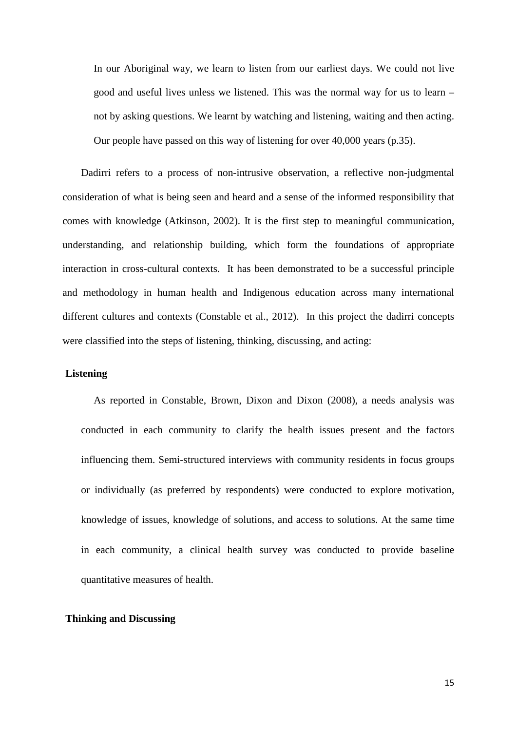In our Aboriginal way, we learn to listen from our earliest days. We could not live good and useful lives unless we listened. This was the normal way for us to learn – not by asking questions. We learnt by watching and listening, waiting and then acting. Our people have passed on this way of listening for over 40,000 years (p.35).

Dadirri refers to a process of non-intrusive observation, a reflective non-judgmental consideration of what is being seen and heard and a sense of the informed responsibility that comes with knowledge (Atkinson, 2002). It is the first step to meaningful communication, understanding, and relationship building, which form the foundations of appropriate interaction in cross-cultural contexts. It has been demonstrated to be a successful principle and methodology in human health and Indigenous education across many international different cultures and contexts (Constable et al., 2012). In this project the dadirri concepts were classified into the steps of listening, thinking, discussing, and acting:

#### **Listening**

As reported in Constable, Brown, Dixon and Dixon (2008), a needs analysis was conducted in each community to clarify the health issues present and the factors influencing them. Semi-structured interviews with community residents in focus groups or individually (as preferred by respondents) were conducted to explore motivation, knowledge of issues, knowledge of solutions, and access to solutions. At the same time in each community, a clinical health survey was conducted to provide baseline quantitative measures of health.

#### **Thinking and Discussing**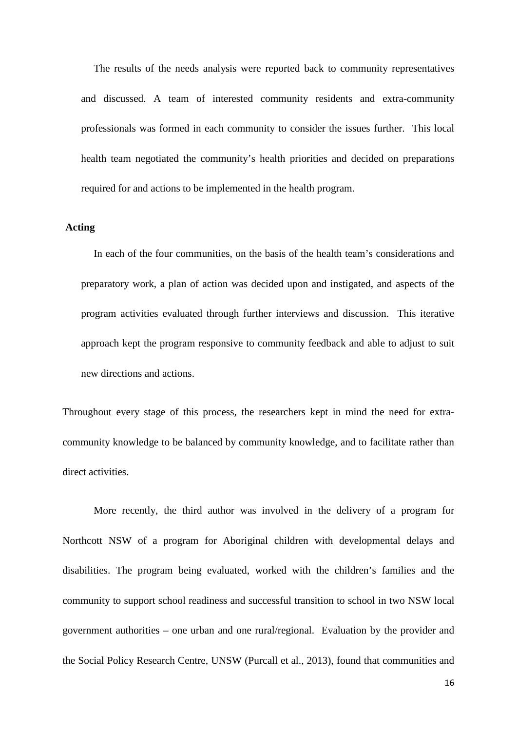The results of the needs analysis were reported back to community representatives and discussed. A team of interested community residents and extra-community professionals was formed in each community to consider the issues further. This local health team negotiated the community's health priorities and decided on preparations required for and actions to be implemented in the health program.

## **Acting**

In each of the four communities, on the basis of the health team's considerations and preparatory work, a plan of action was decided upon and instigated, and aspects of the program activities evaluated through further interviews and discussion. This iterative approach kept the program responsive to community feedback and able to adjust to suit new directions and actions.

Throughout every stage of this process, the researchers kept in mind the need for extracommunity knowledge to be balanced by community knowledge, and to facilitate rather than direct activities.

More recently, the third author was involved in the delivery of a program for Northcott NSW of a program for Aboriginal children with developmental delays and disabilities. The program being evaluated, worked with the children's families and the community to support school readiness and successful transition to school in two NSW local government authorities – one urban and one rural/regional. Evaluation by the provider and the Social Policy Research Centre, UNSW (Purcall et al., 2013), found that communities and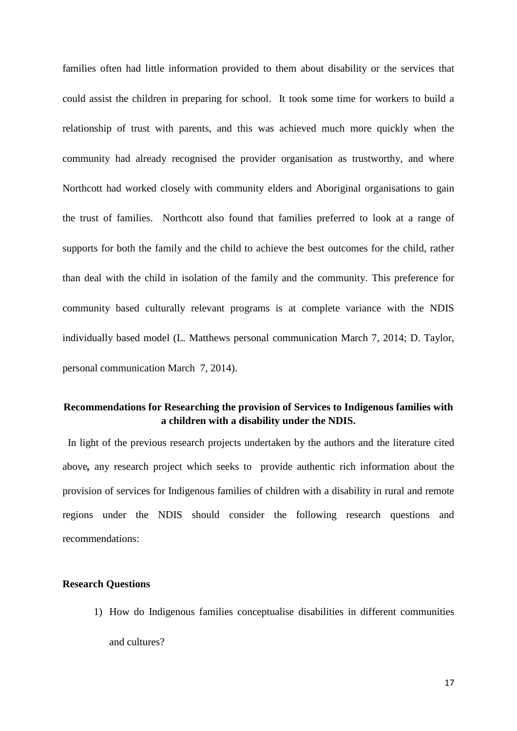families often had little information provided to them about disability or the services that could assist the children in preparing for school. It took some time for workers to build a relationship of trust with parents, and this was achieved much more quickly when the community had already recognised the provider organisation as trustworthy, and where Northcott had worked closely with community elders and Aboriginal organisations to gain the trust of families. Northcott also found that families preferred to look at a range of supports for both the family and the child to achieve the best outcomes for the child, rather than deal with the child in isolation of the family and the community. This preference for community based culturally relevant programs is at complete variance with the NDIS individually based model (L. Matthews personal communication March 7, 2014; D. Taylor, personal communication March 7, 2014).

# **Recommendations for Researching the provision of Services to Indigenous families with a children with a disability under the NDIS.**

In light of the previous research projects undertaken by the authors and the literature cited above*,* any research project which seeks to provide authentic rich information about the provision of services for Indigenous families of children with a disability in rural and remote regions under the NDIS should consider the following research questions and recommendations:

## **Research Questions**

1) How do Indigenous families conceptualise disabilities in different communities and cultures?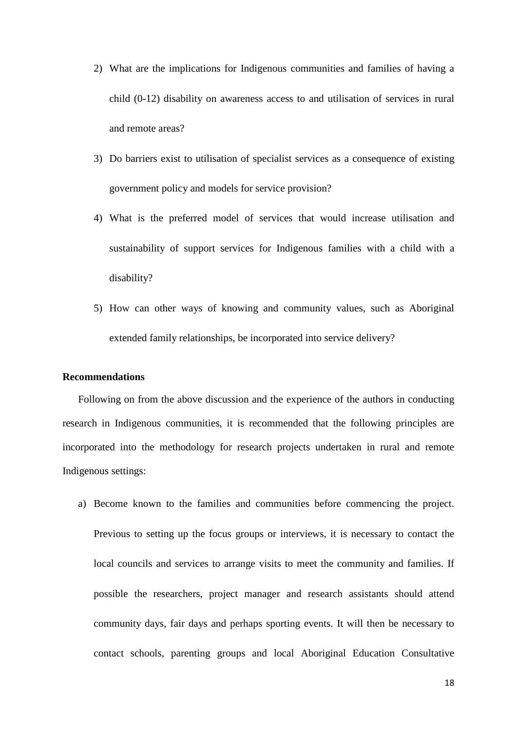- 2) What are the implications for Indigenous communities and families of having a child (0-12) disability on awareness access to and utilisation of services in rural and remote areas?
- 3) Do barriers exist to utilisation of specialist services as a consequence of existing government policy and models for service provision?
- 4) What is the preferred model of services that would increase utilisation and sustainability of support services for Indigenous families with a child with a disability?
- 5) How can other ways of knowing and community values, such as Aboriginal extended family relationships, be incorporated into service delivery?

## **Recommendations**

Following on from the above discussion and the experience of the authors in conducting research in Indigenous communities, it is recommended that the following principles are incorporated into the methodology for research projects undertaken in rural and remote Indigenous settings:

a) Become known to the families and communities before commencing the project. Previous to setting up the focus groups or interviews, it is necessary to contact the local councils and services to arrange visits to meet the community and families. If possible the researchers, project manager and research assistants should attend community days, fair days and perhaps sporting events. It will then be necessary to contact schools, parenting groups and local Aboriginal Education Consultative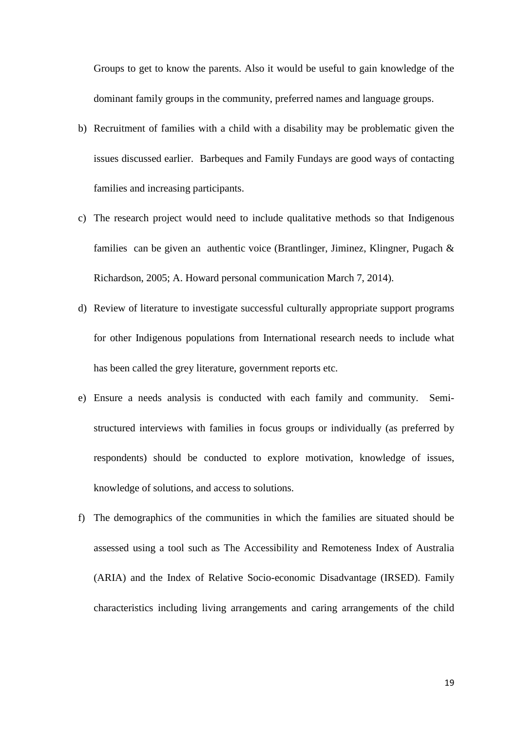Groups to get to know the parents. Also it would be useful to gain knowledge of the dominant family groups in the community, preferred names and language groups.

- b) Recruitment of families with a child with a disability may be problematic given the issues discussed earlier. Barbeques and Family Fundays are good ways of contacting families and increasing participants.
- c) The research project would need to include qualitative methods so that Indigenous families can be given an authentic voice (Brantlinger, Jiminez, Klingner, Pugach & Richardson, 2005; A. Howard personal communication March 7, 2014).
- d) Review of literature to investigate successful culturally appropriate support programs for other Indigenous populations from International research needs to include what has been called the grey literature, government reports etc.
- e) Ensure a needs analysis is conducted with each family and community. Semistructured interviews with families in focus groups or individually (as preferred by respondents) should be conducted to explore motivation, knowledge of issues, knowledge of solutions, and access to solutions.
- f) The demographics of the communities in which the families are situated should be assessed using a tool such as The Accessibility and Remoteness Index of Australia (ARIA) and the Index of Relative Socio-economic Disadvantage (IRSED). Family characteristics including living arrangements and caring arrangements of the child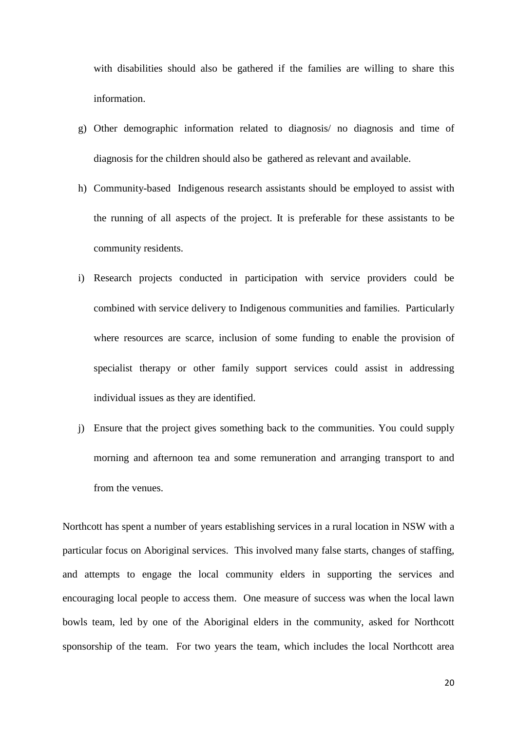with disabilities should also be gathered if the families are willing to share this information.

- g) Other demographic information related to diagnosis/ no diagnosis and time of diagnosis for the children should also be gathered as relevant and available.
- h) Community-based Indigenous research assistants should be employed to assist with the running of all aspects of the project. It is preferable for these assistants to be community residents.
- i) Research projects conducted in participation with service providers could be combined with service delivery to Indigenous communities and families. Particularly where resources are scarce, inclusion of some funding to enable the provision of specialist therapy or other family support services could assist in addressing individual issues as they are identified.
- j) Ensure that the project gives something back to the communities. You could supply morning and afternoon tea and some remuneration and arranging transport to and from the venues.

Northcott has spent a number of years establishing services in a rural location in NSW with a particular focus on Aboriginal services. This involved many false starts, changes of staffing, and attempts to engage the local community elders in supporting the services and encouraging local people to access them. One measure of success was when the local lawn bowls team, led by one of the Aboriginal elders in the community, asked for Northcott sponsorship of the team. For two years the team, which includes the local Northcott area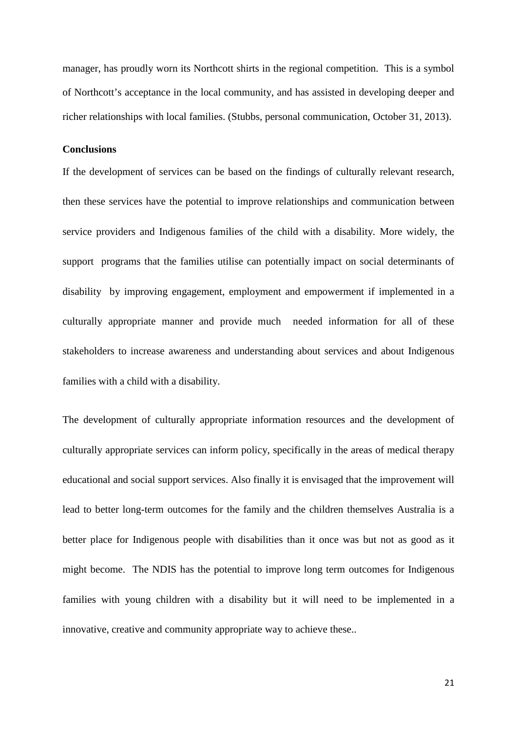manager, has proudly worn its Northcott shirts in the regional competition. This is a symbol of Northcott's acceptance in the local community, and has assisted in developing deeper and richer relationships with local families. (Stubbs, personal communication, October 31, 2013).

#### **Conclusions**

If the development of services can be based on the findings of culturally relevant research, then these services have the potential to improve relationships and communication between service providers and Indigenous families of the child with a disability. More widely, the support programs that the families utilise can potentially impact on social determinants of disability by improving engagement, employment and empowerment if implemented in a culturally appropriate manner and provide much needed information for all of these stakeholders to increase awareness and understanding about services and about Indigenous families with a child with a disability.

The development of culturally appropriate information resources and the development of culturally appropriate services can inform policy, specifically in the areas of medical therapy educational and social support services. Also finally it is envisaged that the improvement will lead to better long-term outcomes for the family and the children themselves Australia is a better place for Indigenous people with disabilities than it once was but not as good as it might become. The NDIS has the potential to improve long term outcomes for Indigenous families with young children with a disability but it will need to be implemented in a innovative, creative and community appropriate way to achieve these..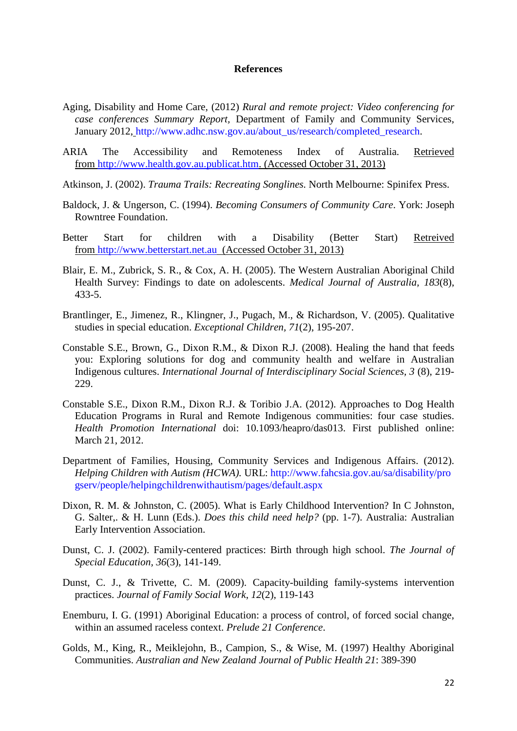#### **References**

- Aging, Disability and Home Care, (2012) *Rural and remote project: Video conferencing for case conferences Summary Report,* Department of Family and Community Services, January 2012, [http://www.adhc.nsw.gov.au/about\\_us/research/completed\\_research.](http://www.adhc.nsw.gov.au/about_us/research/completed_research)
- ARIA The Accessibility and Remoteness Index of Australia. Retrieved from [http://www.health.gov.au.publicat.htm.](http://www.health.gov.au.publicat.htm/) (Accessed October 31, 2013)
- Atkinson, J. (2002). *Trauma Trails: Recreating Songlines.* North Melbourne: Spinifex Press.
- Baldock, J. & Ungerson, C. (1994). *Becoming Consumers of Community Care*. York: Joseph Rowntree Foundation.
- Better Start for children with a Disability (Better Start) Retreived from [http://www.betterstart.net.au](http://www.betterstart.net.au/) (Accessed October 31, 2013)
- Blair, E. M., Zubrick, S. R., & Cox, A. H. (2005). The Western Australian Aboriginal Child Health Survey: Findings to date on adolescents. *Medical Journal of Australia, 183*(8), 433-5.
- Brantlinger, E., Jimenez, R., Klingner, J., Pugach, M., & Richardson, V. (2005). Qualitative studies in special education. *Exceptional Children, 71*(2), 195-207.
- Constable S.E., Brown, G., Dixon R.M., & Dixon R.J. (2008). Healing the hand that feeds you: Exploring solutions for dog and community health and welfare in Australian Indigenous cultures. *International Journal of Interdisciplinary Social Sciences, 3* (8), 219- 229.
- Constable S.E., Dixon R.M., Dixon R.J. & Toribio J.A. (2012). Approaches to Dog Health Education Programs in Rural and Remote Indigenous communities: four case studies. *Health Promotion International* doi: 10.1093/heapro/das013. First published online: March 21, 2012.
- Department of Families, Housing, Community Services and Indigenous Affairs. (2012). *Helping Children with Autism (HCWA).* URL: [http://www.fahcsia.gov.au/sa/disability/pro](http://www.fahcsia.gov.au/sa/disability/progserv/people/helpingchildrenwithautism/pages/default.aspx) [gserv/people/helpingchildrenwithautism/pages/default.aspx](http://www.fahcsia.gov.au/sa/disability/progserv/people/helpingchildrenwithautism/pages/default.aspx)
- Dixon, R. M. & Johnston, C. (2005). What is Early Childhood Intervention? In C Johnston, G. Salter,. & H. Lunn (Eds.). *Does this child need help?* (pp. 1-7). Australia: Australian Early Intervention Association.
- Dunst, C. J. (2002). Family-centered practices: Birth through high school. *The Journal of Special Education, 36*(3), 141-149.
- Dunst, C. J., & Trivette, C. M. (2009). Capacity-building family-systems intervention practices. *Journal of Family Social Work*, *12*(2), 119-143
- Enemburu, I. G. (1991) Aboriginal Education: a process of control, of forced social change, within an assumed raceless context. *Prelude 21 Conference*.
- Golds, M., King, R., Meiklejohn, B., Campion, S., & Wise, M. (1997) Healthy Aboriginal Communities. *Australian and New Zealand Journal of Public Health 21*: 389-390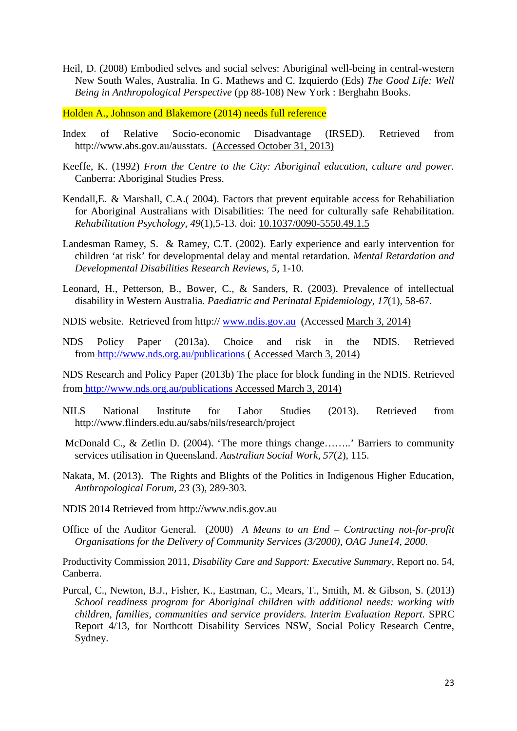Heil, D. (2008) Embodied selves and social selves: Aboriginal well-being in central-western New South Wales, Australia. In G. Mathews and C. Izquierdo (Eds) *The Good Life: Well Being in Anthropological Perspective* (pp 88-108) New York : Berghahn Books.

Holden A., Johnson and Blakemore (2014) needs full reference

- Index of Relative Socio-economic Disadvantage (IRSED). Retrieved from http://www.abs.gov.au/ausstats. (Accessed October 31, 2013)
- Keeffe, K. (1992) *From the Centre to the City: Aboriginal education, culture and power.* Canberra: Aboriginal Studies Press.
- Kendall,E. & Marshall, C.A.( 2004). Factors that prevent equitable access for Rehabiliation for Aboriginal Australians with Disabilities: The need for culturally safe Rehabilitation. *Rehabilitation Psychology, 49*(1),5-13. doi: [10.1037/0090-5550.49.1.5](http://psycnet.apa.org/doi/10.1037/0090-5550.49.1.5)
- Landesman Ramey, S. & Ramey, C.T. (2002). Early experience and early intervention for children 'at risk' for developmental delay and mental retardation. *Mental Retardation and Developmental Disabilities Research Reviews, 5,* 1-10.
- Leonard, H., Petterson, B., Bower, C., & Sanders, R. (2003). Prevalence of intellectual disability in Western Australia. *Paediatric and Perinatal Epidemiology, 17*(1), 58-67.
- NDIS website. Retrieved from http:// [www.ndis.gov.au](http://www.ndis.gov.au/) (Accessed March 3, 2014)
- NDS Policy Paper (2013a). Choice and risk in the NDIS. Retrieved from <http://www.nds.org.au/publications> ( Accessed March 3, 2014)

NDS Research and Policy Paper (2013b) The place for block funding in the NDIS. Retrieved from <http://www.nds.org.au/publications> Accessed March 3, 2014)

- NILS National Institute for Labor Studies (2013). Retrieved from http://www.flinders.edu.au/sabs/nils/research/project
- McDonald C., & Zetlin D. (2004). 'The more things change……..' Barriers to community services utilisation in Queensland. *Australian Social Work, 57*(2), 115.
- Nakata, M. (2013). The Rights and Blights of the Politics in Indigenous Higher Education, *Anthropological Forum, 23* (3)*,* 289-303*.*
- NDIS 2014 Retrieved from http://www.ndis.gov.au
- Office of the Auditor General. (2000) *A Means to an End – Contracting not-for-profit Organisations for the Delivery of Community Services (3/2000), OAG June14, 2000.*

Productivity Commission 2011, *Disability Care and Support: Executive Summary*, Report no. 54, Canberra.

Purcal, C., Newton, B.J., Fisher, K., Eastman, C., Mears, T., Smith, M. & Gibson, S. (2013) *School readiness program for Aboriginal children with additional needs: working with children, families, communities and service providers. Interim Evaluation Report.* SPRC Report 4/13, for Northcott Disability Services NSW, Social Policy Research Centre, Sydney.